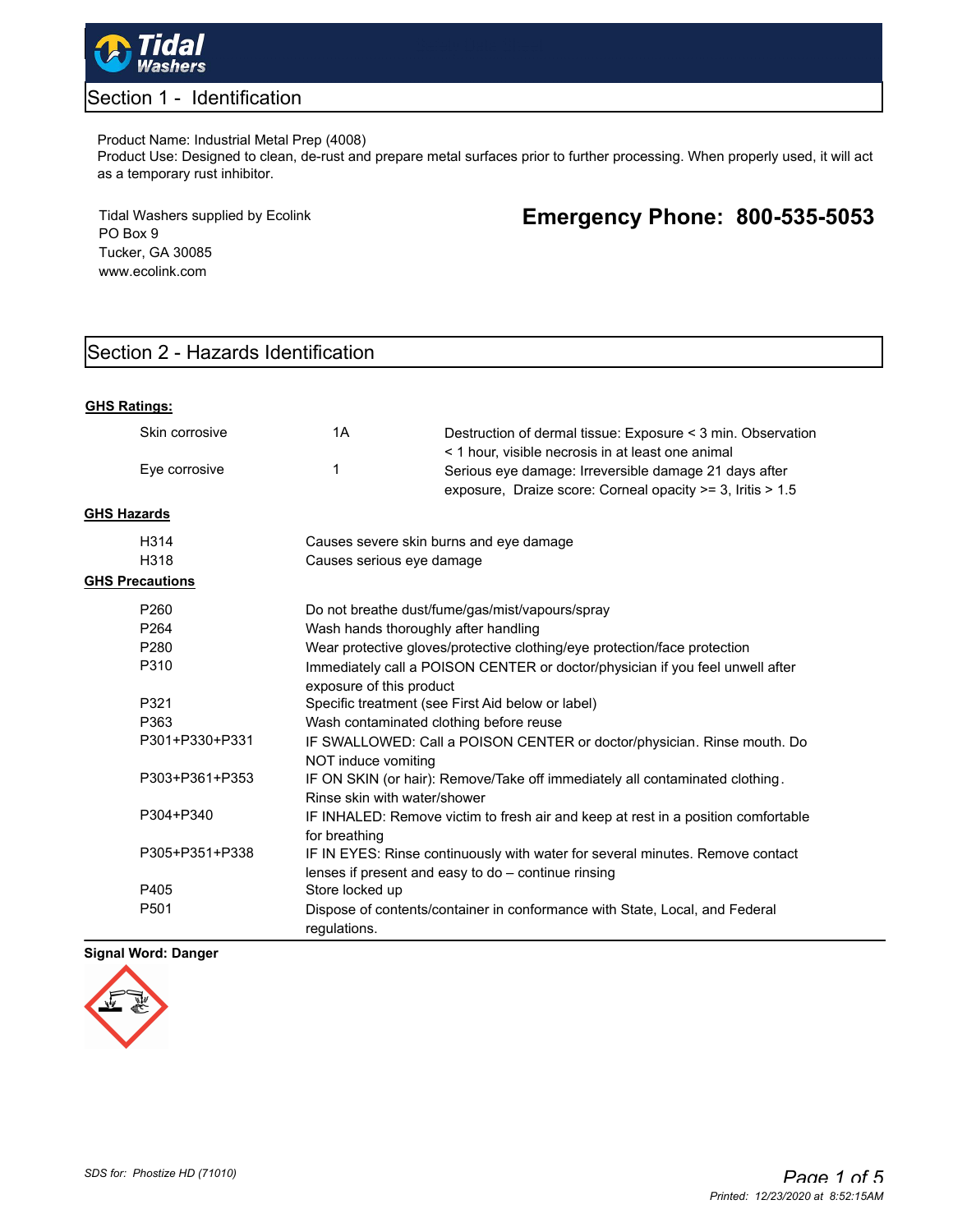

# Section 1 - Identification

#### Product Name: Industrial Metal Prep (4008)

Product Use: Designed to clean, de-rust and prepare metal surfaces prior to further processing. When properly used, it will act as a temporary rust inhibitor.

Tidal Washers supplied by Ecolink PO Box 9 Tucker, GA 30085 www.ecolink.com

# **Emergency Phone: 800-535-5053**

# Section 2 - Hazards Identification

| <b>GHS Ratings:</b>    |                                                                                                           |                                                                                                                                      |  |
|------------------------|-----------------------------------------------------------------------------------------------------------|--------------------------------------------------------------------------------------------------------------------------------------|--|
| Skin corrosive         | 1A                                                                                                        | Destruction of dermal tissue: Exposure < 3 min. Observation<br>< 1 hour, visible necrosis in at least one animal                     |  |
| Eye corrosive          | 1                                                                                                         | Serious eye damage: Irreversible damage 21 days after<br>exposure, Draize score: Corneal opacity >= 3, Iritis > 1.5                  |  |
| <b>GHS Hazards</b>     |                                                                                                           |                                                                                                                                      |  |
| H314                   |                                                                                                           | Causes severe skin burns and eye damage                                                                                              |  |
| H318                   |                                                                                                           | Causes serious eye damage                                                                                                            |  |
| <b>GHS Precautions</b> |                                                                                                           |                                                                                                                                      |  |
| P260                   |                                                                                                           | Do not breathe dust/fume/gas/mist/vapours/spray                                                                                      |  |
| P <sub>264</sub>       | Wash hands thoroughly after handling                                                                      |                                                                                                                                      |  |
| P <sub>280</sub>       | Wear protective gloves/protective clothing/eye protection/face protection                                 |                                                                                                                                      |  |
| P310                   | Immediately call a POISON CENTER or doctor/physician if you feel unwell after<br>exposure of this product |                                                                                                                                      |  |
| P321                   | Specific treatment (see First Aid below or label)                                                         |                                                                                                                                      |  |
| P363                   | Wash contaminated clothing before reuse                                                                   |                                                                                                                                      |  |
| P301+P330+P331         | IF SWALLOWED: Call a POISON CENTER or doctor/physician. Rinse mouth. Do<br>NOT induce vomiting            |                                                                                                                                      |  |
| P303+P361+P353         | Rinse skin with water/shower                                                                              | IF ON SKIN (or hair): Remove/Take off immediately all contaminated clothing.                                                         |  |
| P304+P340              | for breathing                                                                                             | IF INHALED: Remove victim to fresh air and keep at rest in a position comfortable                                                    |  |
| P305+P351+P338         |                                                                                                           | IF IN EYES: Rinse continuously with water for several minutes. Remove contact<br>lenses if present and easy to do - continue rinsing |  |
| P405                   | Store locked up                                                                                           |                                                                                                                                      |  |
| P <sub>501</sub>       | Dispose of contents/container in conformance with State, Local, and Federal<br>requlations.               |                                                                                                                                      |  |

#### **Signal Word: Danger**

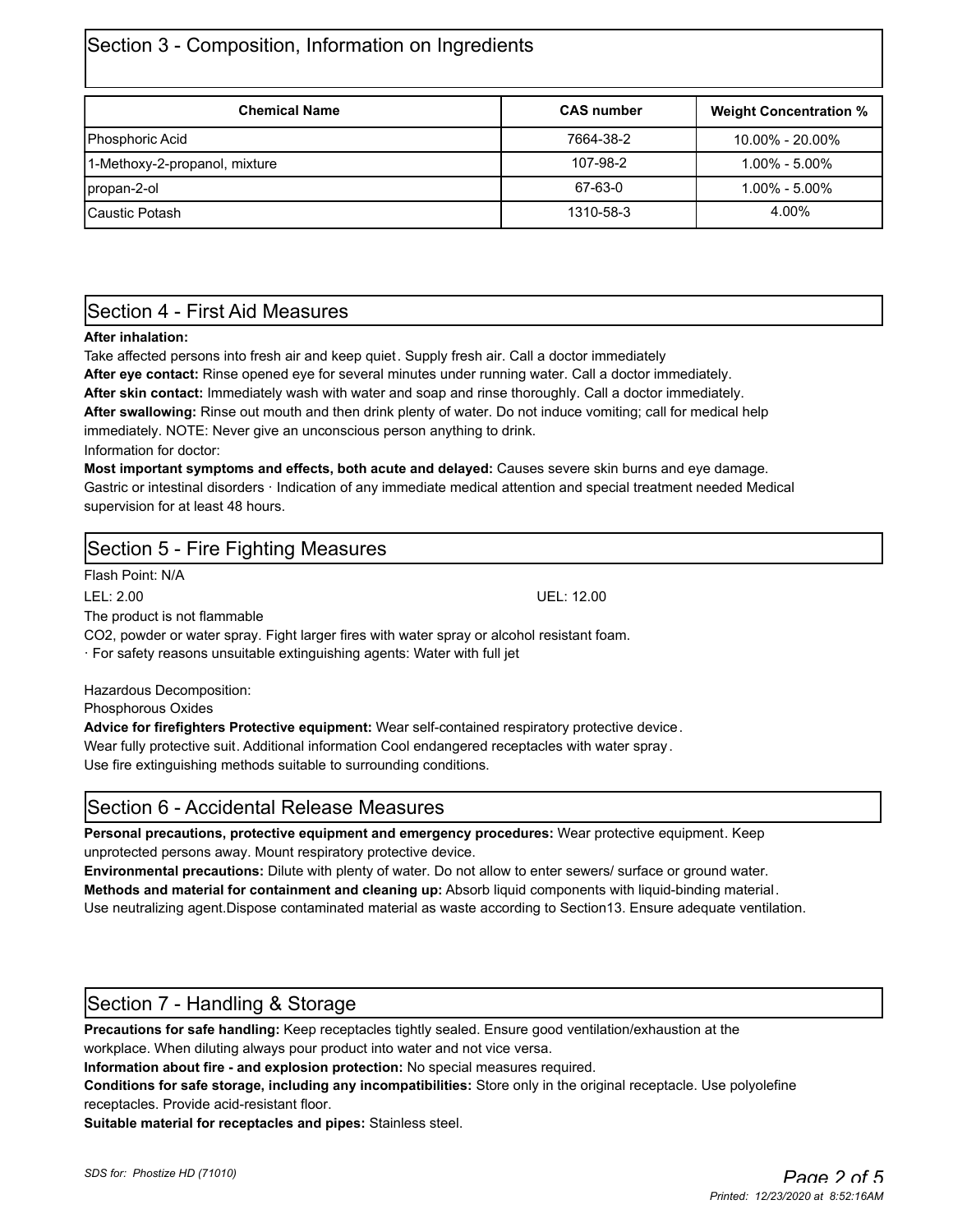# Section 3 - Composition, Information on Ingredients

| <b>Chemical Name</b>          | <b>CAS number</b>                | <b>Weight Concentration %</b> |
|-------------------------------|----------------------------------|-------------------------------|
| Phosphoric Acid               | 7664-38-2<br>$10.00\% - 20.00\%$ |                               |
| 1-Methoxy-2-propanol, mixture | 107-98-2<br>$1.00\% - 5.00\%$    |                               |
| propan-2-ol                   | 67-63-0                          | $1.00\% - 5.00\%$             |
| <b>ICaustic Potash</b>        | 1310-58-3                        | 4.00%                         |

### Section 4 - First Aid Measures

#### **After inhalation:**

Take affected persons into fresh air and keep quiet. Supply fresh air. Call a doctor immediately

**After eye contact:** Rinse opened eye for several minutes under running water. Call a doctor immediately.

**After skin contact:** Immediately wash with water and soap and rinse thoroughly. Call a doctor immediately.

**After swallowing:** Rinse out mouth and then drink plenty of water. Do not induce vomiting; call for medical help immediately. NOTE: Never give an unconscious person anything to drink.

Information for doctor:

**Most important symptoms and effects, both acute and delayed:** Causes severe skin burns and eye damage. Gastric or intestinal disorders · Indication of any immediate medical attention and special treatment needed Medical supervision for at least 48 hours.

# Section 5 - Fire Fighting Measures

Flash Point: N/A

LEL: 2.00 UEL: 12.00

The product is not flammable

CO2, powder or water spray. Fight larger fires with water spray or alcohol resistant foam.

· For safety reasons unsuitable extinguishing agents: Water with full jet

Hazardous Decomposition:

Phosphorous Oxides

**Advice for firefighters Protective equipment:** Wear self-contained respiratory protective device.

Wear fully protective suit. Additional information Cool endangered receptacles with water spray .

Use fire extinguishing methods suitable to surrounding conditions.

### Section 6 - Accidental Release Measures

**Personal precautions, protective equipment and emergency procedures:** Wear protective equipment. Keep unprotected persons away. Mount respiratory protective device.

**Environmental precautions:** Dilute with plenty of water. Do not allow to enter sewers/ surface or ground water. **Methods and material for containment and cleaning up:** Absorb liquid components with liquid-binding material. Use neutralizing agent.Dispose contaminated material as waste according to Section13. Ensure adequate ventilation.

### Section 7 - Handling & Storage

**Precautions for safe handling:** Keep receptacles tightly sealed. Ensure good ventilation/exhaustion at the workplace. When diluting always pour product into water and not vice versa.

**Information about fire - and explosion protection:** No special measures required.

**Conditions for safe storage, including any incompatibilities:** Store only in the original receptacle. Use polyolefine receptacles. Provide acid-resistant floor.

**Suitable material for receptacles and pipes:** Stainless steel.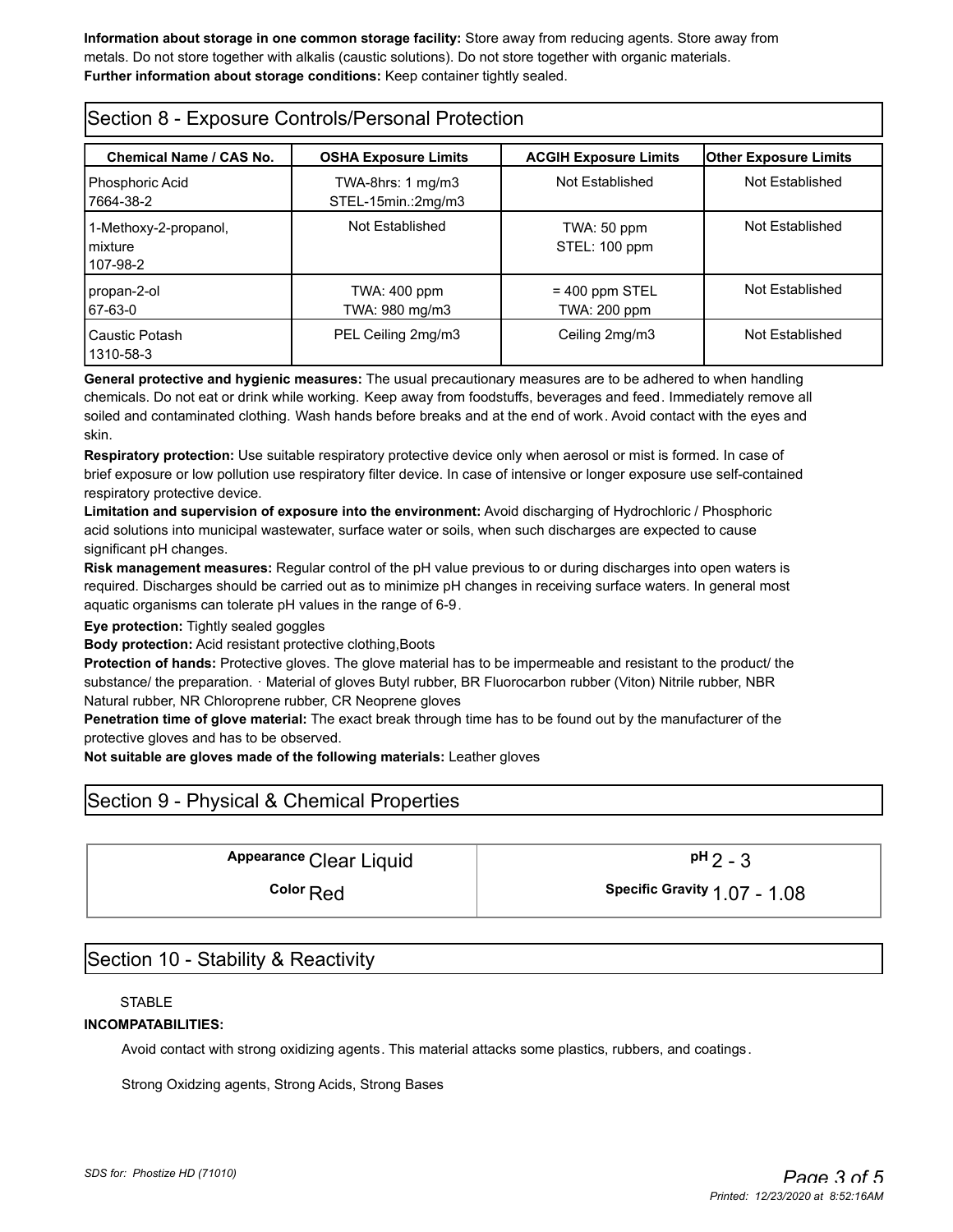**Information about storage in one common storage facility:** Store away from reducing agents. Store away from metals. Do not store together with alkalis (caustic solutions). Do not store together with organic materials. **Further information about storage conditions:** Keep container tightly sealed.

| Section 8 - Exposure Controls/Personal Protection |                                                    |                                         |                              |  |  |  |
|---------------------------------------------------|----------------------------------------------------|-----------------------------------------|------------------------------|--|--|--|
| <b>Chemical Name / CAS No.</b>                    | <b>OSHA Exposure Limits</b>                        | <b>ACGIH Exposure Limits</b>            | <b>Other Exposure Limits</b> |  |  |  |
| Phosphoric Acid<br>7664-38-2                      | TWA-8hrs: $1 \text{ mg/m}$ 3<br>STEL-15min.:2mg/m3 | Not Established                         | Not Established              |  |  |  |
| 1-Methoxy-2-propanol,<br>mixture<br>107-98-2      | Not Established                                    | TWA: 50 ppm<br>STEL: 100 ppm            | Not Established              |  |  |  |
| propan-2-ol<br>67-63-0                            | TWA: 400 ppm<br>TWA: 980 mg/m3                     | $= 400$ ppm STEL<br><b>TWA: 200 ppm</b> | Not Established              |  |  |  |
| Caustic Potash<br>1310-58-3                       | PEL Ceiling 2mg/m3                                 | Ceiling 2mg/m3                          | Not Established              |  |  |  |

**General protective and hygienic measures:** The usual precautionary measures are to be adhered to when handling chemicals. Do not eat or drink while working. Keep away from foodstuffs, beverages and feed. Immediately remove all soiled and contaminated clothing. Wash hands before breaks and at the end of work. Avoid contact with the eyes and skin.

**Respiratory protection:** Use suitable respiratory protective device only when aerosol or mist is formed. In case of brief exposure or low pollution use respiratory filter device. In case of intensive or longer exposure use self-contained respiratory protective device.

**Limitation and supervision of exposure into the environment:** Avoid discharging of Hydrochloric / Phosphoric acid solutions into municipal wastewater, surface water or soils, when such discharges are expected to cause significant pH changes.

**Risk management measures:** Regular control of the pH value previous to or during discharges into open waters is required. Discharges should be carried out as to minimize pH changes in receiving surface waters. In general most aquatic organisms can tolerate pH values in the range of 6-9.

**Eye protection:** Tightly sealed goggles

**Body protection:** Acid resistant protective clothing,Boots

**Protection of hands:** Protective gloves. The glove material has to be impermeable and resistant to the product/ the substance/ the preparation. · Material of gloves Butyl rubber, BR Fluorocarbon rubber (Viton) Nitrile rubber, NBR Natural rubber, NR Chloroprene rubber, CR Neoprene gloves

**Penetration time of glove material:** The exact break through time has to be found out by the manufacturer of the protective gloves and has to be observed.

**Not suitable are gloves made of the following materials:** Leather gloves

# Section 9 - Physical & Chemical Properties

Appearance Clear Liquid  $pH_2 - 3$ 

**Color** Red **Color Red Color Red Color Red Color Color Color Color Color Color Color Color Color Color Color Color Color Color Color Color Color Color Color Color Color**

### Section 10 - Stability & Reactivity

STABLE

#### **INCOMPATABILITIES:**

Avoid contact with strong oxidizing agents. This material attacks some plastics, rubbers, and coatings.

Strong Oxidzing agents, Strong Acids, Strong Bases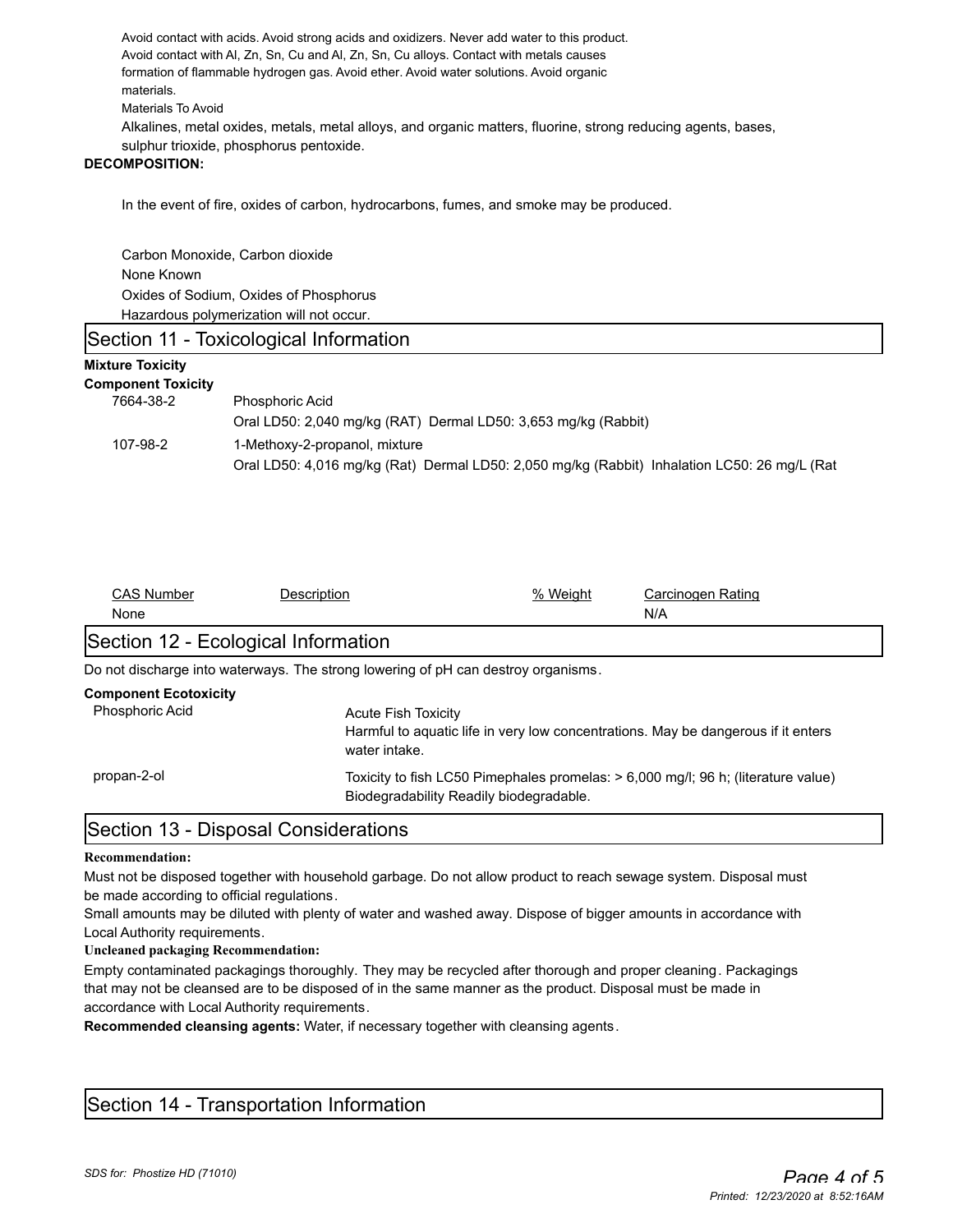Avoid contact with acids. Avoid strong acids and oxidizers. Never add water to this product. Avoid contact with Al, Zn, Sn, Cu and Al, Zn, Sn, Cu alloys. Contact with metals causes formation of flammable hydrogen gas. Avoid ether. Avoid water solutions. Avoid organic materials. Materials To Avoid Alkalines, metal oxides, metals, metal alloys, and organic matters, fluorine, strong reducing agents, bases,

sulphur trioxide, phosphorus pentoxide.

#### **DECOMPOSITION:**

In the event of fire, oxides of carbon, hydrocarbons, fumes, and smoke may be produced.

Carbon Monoxide, Carbon dioxide None Known Oxides of Sodium, Oxides of Phosphorus Hazardous polymerization will not occur.

### Section 11 - Toxicological Information

#### **Mixture Toxicity**

| <b>Component Toxicity</b> |                                                                                              |
|---------------------------|----------------------------------------------------------------------------------------------|
| 7664-38-2                 | <b>Phosphoric Acid</b>                                                                       |
|                           | Oral LD50: 2,040 mg/kg (RAT) Dermal LD50: 3,653 mg/kg (Rabbit)                               |
| 107-98-2                  | 1-Methoxy-2-propanol, mixture                                                                |
|                           | Oral LD50: 4.016 mg/kg (Rat) Dermal LD50: 2.050 mg/kg (Rabbit) Inhalation LC50: 26 mg/L (Rat |

| <b>CAS Number</b>                   | Description                                                                       | % Weight                                                                                                                     | Carcinogen Rating |  |  |  |
|-------------------------------------|-----------------------------------------------------------------------------------|------------------------------------------------------------------------------------------------------------------------------|-------------------|--|--|--|
| None                                |                                                                                   |                                                                                                                              | N/A               |  |  |  |
| Section 12 - Ecological Information |                                                                                   |                                                                                                                              |                   |  |  |  |
|                                     | Do not discharge into waterways. The strong lowering of pH can destroy organisms. |                                                                                                                              |                   |  |  |  |
| <b>Component Ecotoxicity</b>        |                                                                                   |                                                                                                                              |                   |  |  |  |
| <b>Phosphoric Acid</b>              |                                                                                   | <b>Acute Fish Toxicity</b>                                                                                                   |                   |  |  |  |
|                                     | water intake.                                                                     | Harmful to aguatic life in very low concentrations. May be dangerous if it enters                                            |                   |  |  |  |
| propan-2-ol                         |                                                                                   | Toxicity to fish LC50 Pimephales promelas: > 6,000 mg/l; 96 h; (literature value)<br>Biodegradability Readily biodegradable. |                   |  |  |  |
|                                     |                                                                                   |                                                                                                                              |                   |  |  |  |

### Section 13 - Disposal Considerations

#### **Recommendation:**

Must not be disposed together with household garbage. Do not allow product to reach sewage system. Disposal must be made according to official regulations.

Small amounts may be diluted with plenty of water and washed away. Dispose of bigger amounts in accordance with Local Authority requirements.

#### **Uncleaned packaging Recommendation:**

Empty contaminated packagings thoroughly. They may be recycled after thorough and proper cleaning. Packagings that may not be cleansed are to be disposed of in the same manner as the product. Disposal must be made in accordance with Local Authority requirements.

**Recommended cleansing agents:** Water, if necessary together with cleansing agents.

### Section 14 - Transportation Information